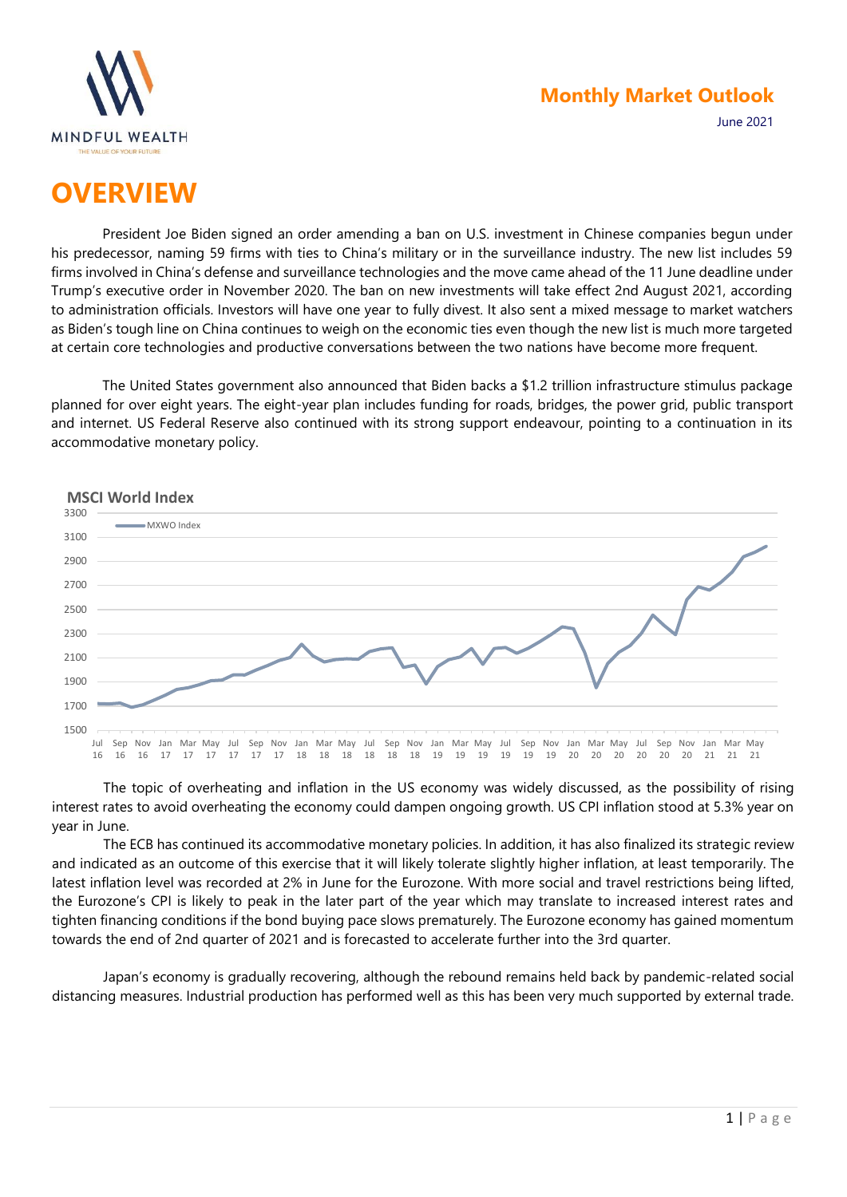

### **Monthly Market Outlook**

June 2021

# **OVERVIEW**

President Joe Biden signed an order amending a ban on U.S. investment in Chinese companies begun under his predecessor, naming 59 firms with ties to China's military or in the surveillance industry. The new list includes 59 firms involved in China's defense and surveillance technologies and the move came ahead of the 11 June deadline under Trump's executive order in November 2020. The ban on new investments will take effect 2nd August 2021, according to administration officials. Investors will have one year to fully divest. It also sent a mixed message to market watchers as Biden's tough line on China continues to weigh on the economic ties even though the new list is much more targeted at certain core technologies and productive conversations between the two nations have become more frequent.

The United States government also announced that Biden backs a \$1.2 trillion infrastructure stimulus package planned for over eight years. The eight-year plan includes funding for roads, bridges, the power grid, public transport and internet. US Federal Reserve also continued with its strong support endeavour, pointing to a continuation in its accommodative monetary policy.



The topic of overheating and inflation in the US economy was widely discussed, as the possibility of rising interest rates to avoid overheating the economy could dampen ongoing growth. US CPI inflation stood at 5.3% year on year in June.

The ECB has continued its accommodative monetary policies. In addition, it has also finalized its strategic review and indicated as an outcome of this exercise that it will likely tolerate slightly higher inflation, at least temporarily. The latest inflation level was recorded at 2% in June for the Eurozone. With more social and travel restrictions being lifted, the Eurozone's CPI is likely to peak in the later part of the year which may translate to increased interest rates and tighten financing conditions if the bond buying pace slows prematurely. The Eurozone economy has gained momentum towards the end of 2nd quarter of 2021 and is forecasted to accelerate further into the 3rd quarter.

Japan's economy is gradually recovering, although the rebound remains held back by pandemic-related social distancing measures. Industrial production has performed well as this has been very much supported by external trade.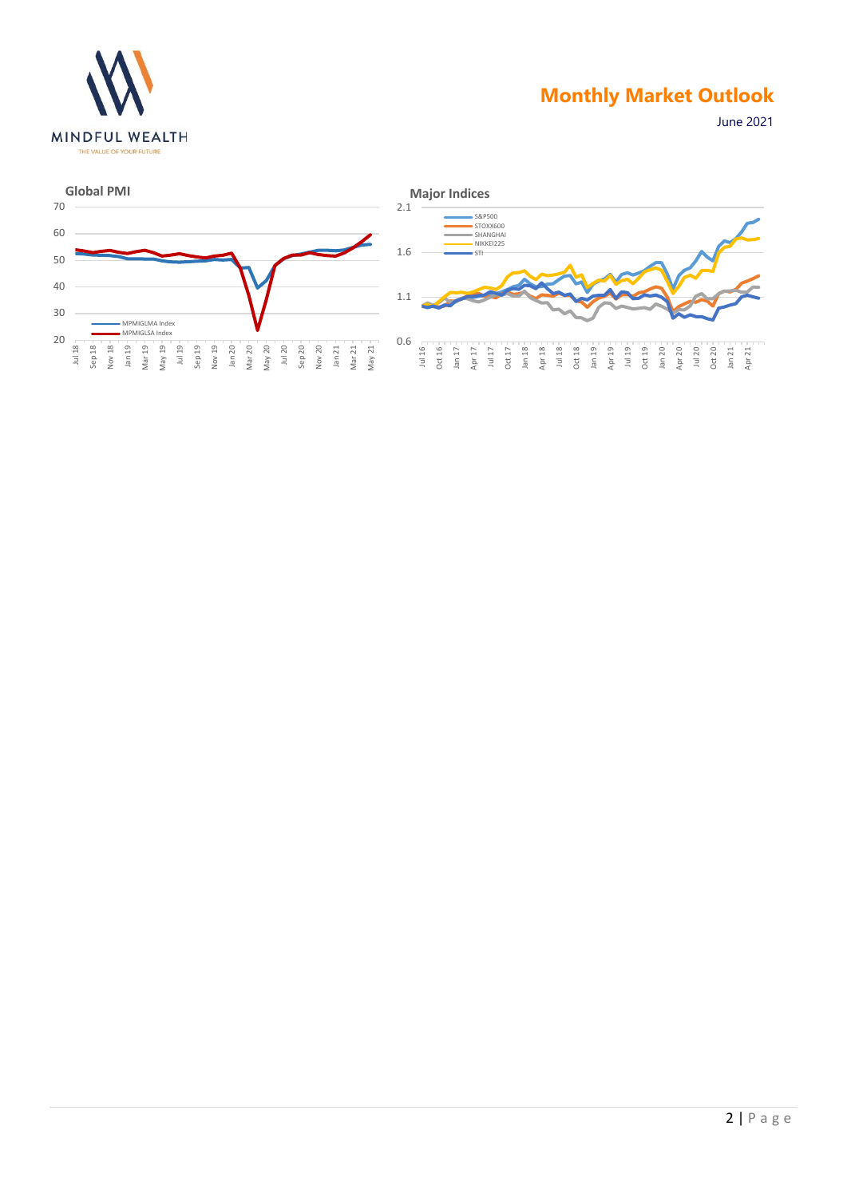

### **Monthly Market Outlook**

June 2021



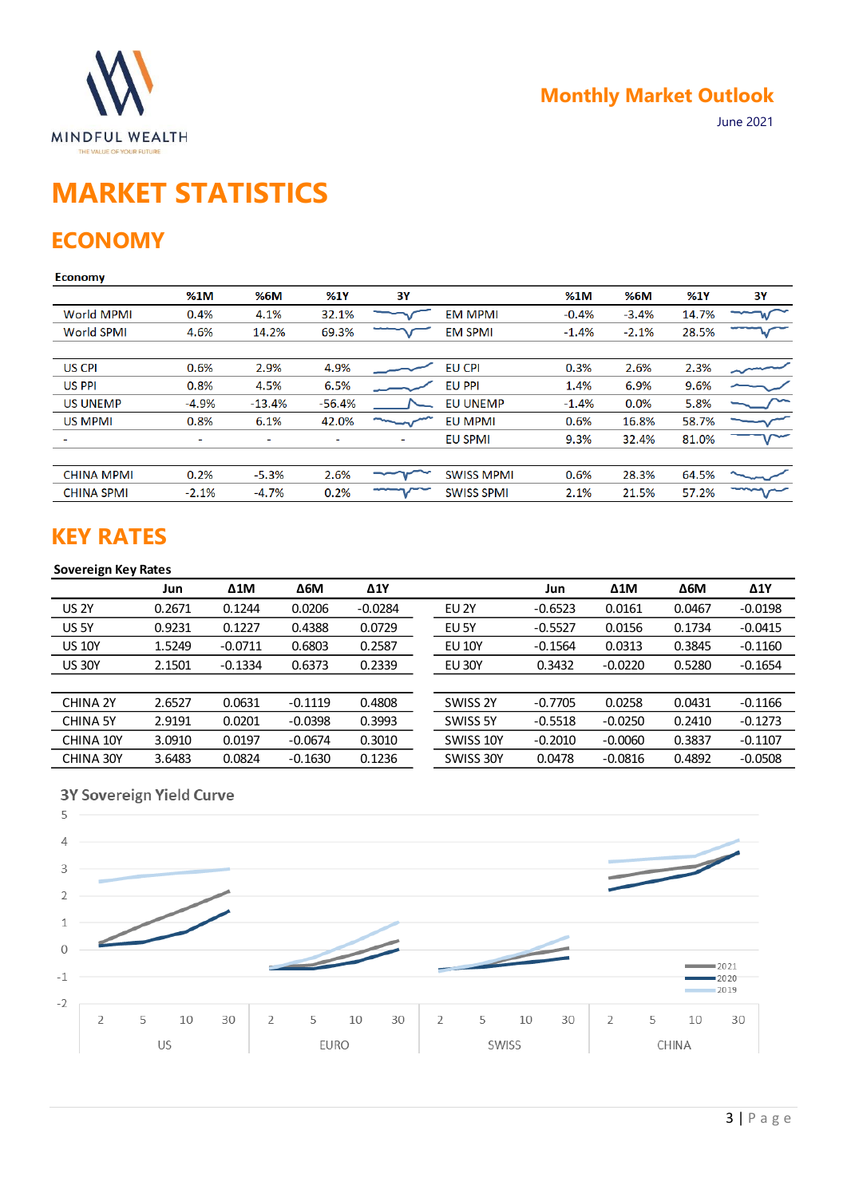

# **MARKET STATISTICS**

## **ECONOMY**

### **Economy**

|                   | %1M     | %6M      | %1Y      | 3Υ |                   | %1M     | %6M     | %1Y   | 3Y |
|-------------------|---------|----------|----------|----|-------------------|---------|---------|-------|----|
| <b>World MPMI</b> | 0.4%    | 4.1%     | 32.1%    |    | <b>EM MPMI</b>    | $-0.4%$ | $-3.4%$ | 14.7% |    |
| <b>World SPMI</b> | 4.6%    | 14.2%    | 69.3%    |    | <b>EM SPMI</b>    | $-1.4%$ | $-2.1%$ | 28.5% |    |
|                   |         |          |          |    |                   |         |         |       |    |
| <b>US CPI</b>     | 0.6%    | 2.9%     | 4.9%     |    | <b>EU CPI</b>     | 0.3%    | 2.6%    | 2.3%  |    |
| <b>US PPI</b>     | 0.8%    | 4.5%     | 6.5%     |    | <b>EU PPI</b>     | 1.4%    | 6.9%    | 9.6%  |    |
| <b>US UNEMP</b>   | $-4.9%$ | $-13.4%$ | $-56.4%$ |    | <b>EU UNEMP</b>   | $-1.4%$ | 0.0%    | 5.8%  |    |
| US MPMI           | 0.8%    | 6.1%     | 42.0%    |    | <b>EU MPMI</b>    | 0.6%    | 16.8%   | 58.7% |    |
|                   | ۰       | ۰        |          | -  | <b>EU SPMI</b>    | 9.3%    | 32.4%   | 81.0% |    |
|                   |         |          |          |    |                   |         |         |       |    |
| <b>CHINA MPMI</b> | 0.2%    | $-5.3%$  | 2.6%     |    | <b>SWISS MPMI</b> | 0.6%    | 28.3%   | 64.5% |    |
| <b>CHINA SPMI</b> | $-2.1%$ | $-4.7%$  | 0.2%     |    | <b>SWISS SPMI</b> | 2.1%    | 21.5%   | 57.2% |    |
|                   |         |          |          |    |                   |         |         |       |    |

### **KEY RATES**

### **Sovereign Key Rates**

|                 | Jun    | $\Delta 1$ M | $\Delta$ 6M | $\Delta$ 1Y |               | Jun       | $\Delta 1$ M | $\Delta$ 6M | $\Delta$ 1Y |
|-----------------|--------|--------------|-------------|-------------|---------------|-----------|--------------|-------------|-------------|
| <b>US 2Y</b>    | 0.2671 | 0.1244       | 0.0206      | $-0.0284$   | EU 2Y         | $-0.6523$ | 0.0161       | 0.0467      | $-0.0198$   |
| US 5Y           | 0.9231 | 0.1227       | 0.4388      | 0.0729      | EU 5Y         | $-0.5527$ | 0.0156       | 0.1734      | $-0.0415$   |
| <b>US 10Y</b>   | 1.5249 | $-0.0711$    | 0.6803      | 0.2587      | <b>EU 10Y</b> | $-0.1564$ | 0.0313       | 0.3845      | $-0.1160$   |
| <b>US 30Y</b>   | 2.1501 | $-0.1334$    | 0.6373      | 0.2339      | <b>EU 30Y</b> | 0.3432    | $-0.0220$    | 0.5280      | $-0.1654$   |
|                 |        |              |             |             |               |           |              |             |             |
| CHINA 2Y        | 2.6527 | 0.0631       | $-0.1119$   | 0.4808      | SWISS 2Y      | $-0.7705$ | 0.0258       | 0.0431      | $-0.1166$   |
| <b>CHINA 5Y</b> | 2.9191 | 0.0201       | $-0.0398$   | 0.3993      | SWISS 5Y      | $-0.5518$ | $-0.0250$    | 0.2410      | $-0.1273$   |
| CHINA 10Y       | 3.0910 | 0.0197       | $-0.0674$   | 0.3010      | SWISS 10Y     | $-0.2010$ | $-0.0060$    | 0.3837      | $-0.1107$   |
| CHINA 30Y       | 3.6483 | 0.0824       | $-0.1630$   | 0.1236      | SWISS 30Y     | 0.0478    | $-0.0816$    | 0.4892      | $-0.0508$   |

### 3Y Sovereign Yield Curve

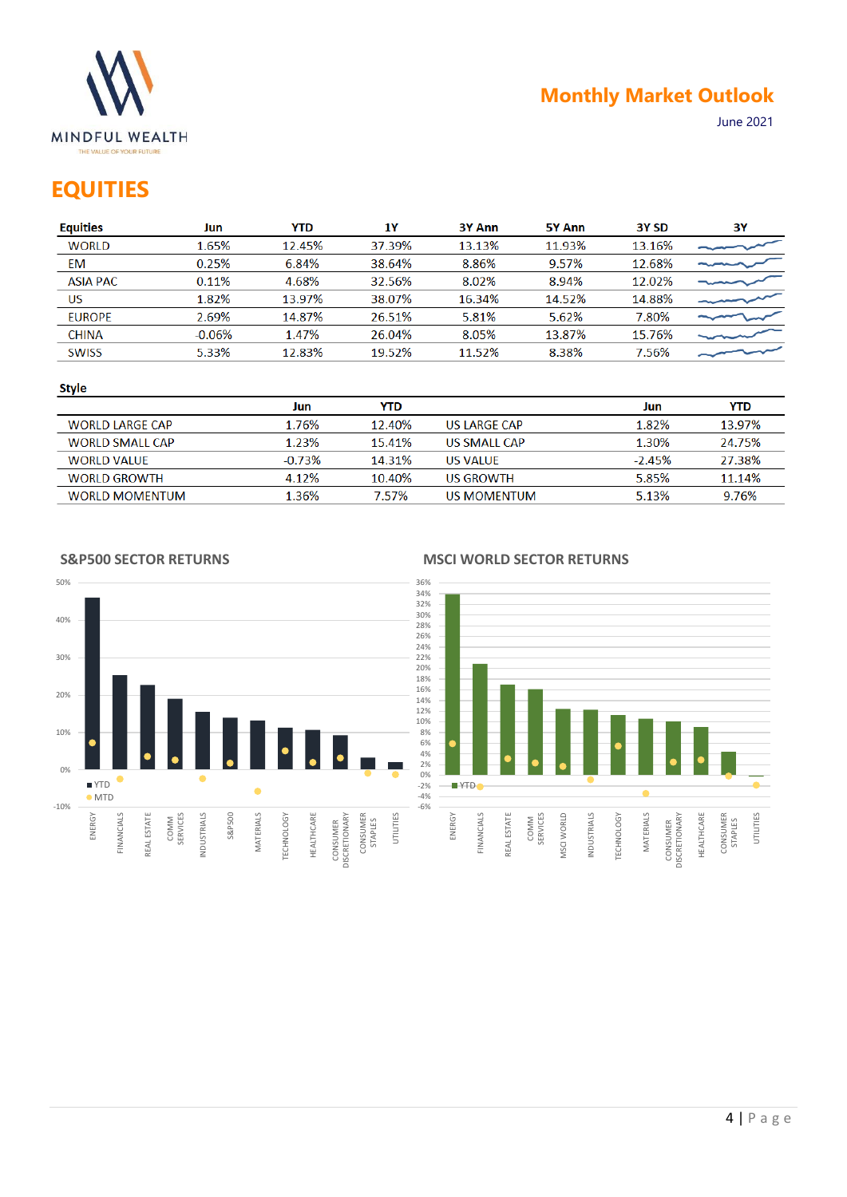

## **EQUITIES**

| <b>Equities</b> | Jun      | YTD.   | 1Υ     | 3Y Ann | 5Y Ann | 3Y SD  | 3Υ |
|-----------------|----------|--------|--------|--------|--------|--------|----|
| <b>WORLD</b>    | 1.65%    | 12.45% | 37.39% | 13.13% | 11.93% | 13.16% |    |
| EM              | 0.25%    | 6.84%  | 38.64% | 8.86%  | 9.57%  | 12.68% |    |
| <b>ASIA PAC</b> | 0.11%    | 4.68%  | 32.56% | 8.02%  | 8.94%  | 12.02% |    |
| US              | 1.82%    | 13.97% | 38.07% | 16.34% | 14.52% | 14.88% |    |
| <b>EUROPE</b>   | 2.69%    | 14.87% | 26.51% | 5.81%  | 5.62%  | 7.80%  |    |
| <b>CHINA</b>    | $-0.06%$ | 1.47%  | 26.04% | 8.05%  | 13.87% | 15.76% |    |
| <b>SWISS</b>    | 5.33%    | 12.83% | 19.52% | 11.52% | 8.38%  | 7.56%  |    |
|                 |          |        |        |        |        |        |    |

#### **Style**

|                        | Jun      | YTD    |                     | Jun      | YTD.   |
|------------------------|----------|--------|---------------------|----------|--------|
| <b>WORLD LARGE CAP</b> | 1.76%    | 12.40% | US LARGE CAP        | 1.82%    | 13.97% |
| <b>WORLD SMALL CAP</b> | 1.23%    | 15.41% | <b>US SMALL CAP</b> | 1.30%    | 24.75% |
| WORLD VALUE            | $-0.73%$ | 14.31% | US VALUE            | $-2.45%$ | 27.38% |
| <b>WORLD GROWTH</b>    | 4.12%    | 10.40% | US GROWTH           | 5.85%    | 11.14% |
| <b>WORLD MOMENTUM</b>  | 1.36%    | 7.57%  | US MOMENTUM         | 5.13%    | 9.76%  |

### **S&P500 SECTOR RETURNS**



### **MSCI WORLD SECTOR RETURNS**

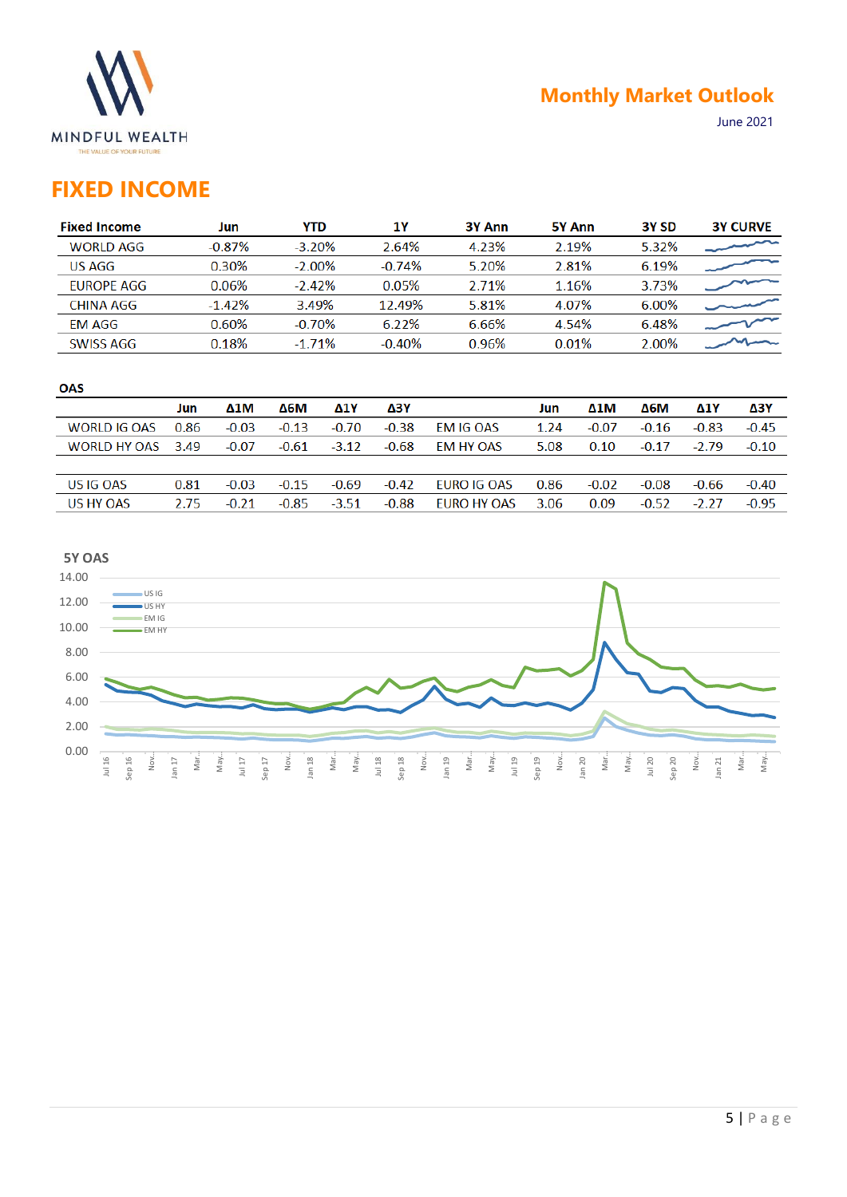

## **FIXED INCOME**

| <b>Fixed Income</b> | Jun      | <b>YTD</b> | 1Υ       | 3Y Ann | 5Y Ann | 3Y <sub>SD</sub> | <b>3Y CURVE</b> |
|---------------------|----------|------------|----------|--------|--------|------------------|-----------------|
| <b>WORLD AGG</b>    | $-0.87%$ | $-3.20%$   | 2.64%    | 4.23%  | 2.19%  | 5.32%            |                 |
| <b>US AGG</b>       | 0.30%    | $-2.00\%$  | $-0.74%$ | 5.20%  | 2.81%  | 6.19%            |                 |
| <b>FUROPE AGG</b>   | 0.06%    | $-2.42%$   | 0.05%    | 2.71%  | 1.16%  | 3.73%            |                 |
| CHINA AGG           | $-1.42%$ | 3.49%      | 12.49%   | 5.81%  | 4.07%  | 6.00%            |                 |
| EM AGG              | 0.60%    | $-0.70%$   | 6.22%    | 6.66%  | 4.54%  | 6.48%            |                 |
| <b>SWISS AGG</b>    | 0.18%    | $-1.71\%$  | $-0.40%$ | 0.96%  | 0.01%  | 2.00%            |                 |
|                     |          |            |          |        |        |                  |                 |

#### **OAS**

|                   | Jun  | $\Delta 1$ M | Δ6М     | <b>Δ1Υ</b> | Δ3Y     |                  | Jun  | $\Delta 1$ M | Δ6М     | Δ1Y     | ΔЗΥ     |
|-------------------|------|--------------|---------|------------|---------|------------------|------|--------------|---------|---------|---------|
| WORLD IG OAS 0.86 |      | $-0.03$      | $-0.13$ | $-0.70$    | $-0.38$ | <b>EM IG OAS</b> | 1.24 | $-0.07$      | $-0.16$ | $-0.83$ | $-0.45$ |
| WORLD HY OAS 3.49 |      | $-0.07$      | $-0.61$ | $-3.12$    | $-0.68$ | EM HY OAS        | 5.08 | 0.10         | $-0.17$ | $-2.79$ | $-0.10$ |
|                   |      |              |         |            |         |                  |      |              |         |         |         |
| US IG OAS         | 0.81 | $-0.03$      | $-0.15$ | -0.69      | $-0.42$ | EURO IG OAS      | 0.86 | $-0.02$      | $-0.08$ | -0.66   | $-0.40$ |
| US HY OAS         | 2.75 | $-0.21$      | $-0.85$ | $-3.51$    | $-0.88$ | EURO HY OAS      | 3.06 | 0.09         | $-0.52$ | $-2.27$ | $-0.95$ |

### **5Y OAS**

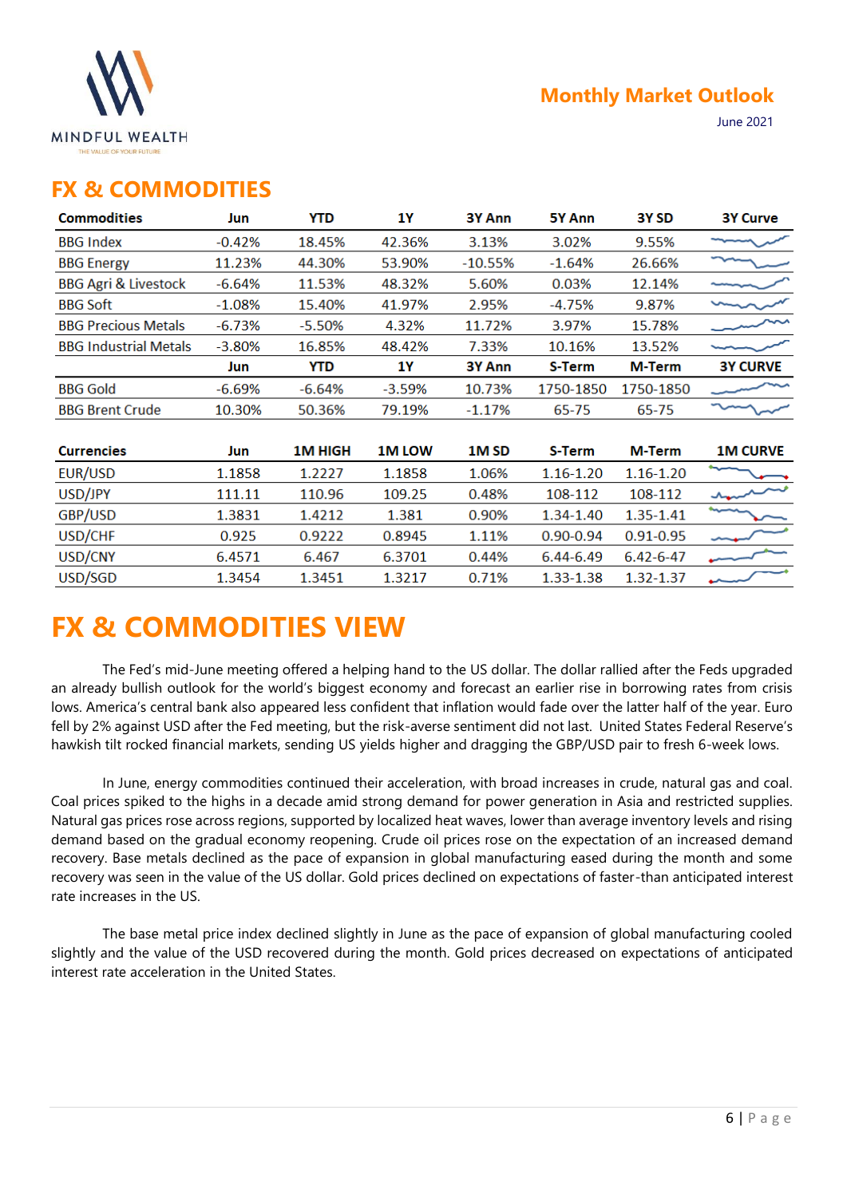

### **FX & COMMODITIES**

| <b>Commodities</b>              | Jun      | YTD      | 1Υ            | 3Y Ann    | 5Y Ann        | 3Y SD           | <b>3Y Curve</b> |
|---------------------------------|----------|----------|---------------|-----------|---------------|-----------------|-----------------|
| <b>BBG</b> Index                | $-0.42%$ | 18.45%   | 42.36%        | 3.13%     | 3.02%         | 9.55%           |                 |
| <b>BBG Energy</b>               | 11.23%   | 44.30%   | 53.90%        | $-10.55%$ | $-1.64%$      | 26.66%          |                 |
| <b>BBG Agri &amp; Livestock</b> | $-6.64%$ | 11.53%   | 48.32%        | 5.60%     | 0.03%         | 12.14%          |                 |
| <b>BBG Soft</b>                 | $-1.08%$ | 15.40%   | 41.97%        | 2.95%     | $-4.75%$      | 9.87%           |                 |
| <b>BBG Precious Metals</b>      | $-6.73%$ | $-5.50%$ | 4.32%         | 11.72%    | 3.97%         | 15.78%          |                 |
| <b>BBG Industrial Metals</b>    | $-3.80%$ | 16.85%   | 48.42%        | 7.33%     | 10.16%        | 13.52%          |                 |
|                                 | Jun      | YTD      | 1Υ            | 3Y Ann    | S-Term        | M-Term          | <b>3Y CURVE</b> |
| <b>BBG Gold</b>                 | $-6.69%$ | $-6.64%$ | $-3.59%$      | 10.73%    | 1750-1850     | 1750-1850       |                 |
| <b>BBG Brent Crude</b>          | 10.30%   | 50.36%   | 79.19%        | $-1.17%$  | 65-75         | 65-75           |                 |
|                                 |          |          |               |           |               |                 |                 |
| <b>Currencies</b>               | Jun      | 1M HIGH  | <b>1M LOW</b> | 1M SD     | S-Term        | M-Term          | <b>1M CURVE</b> |
| EUR/USD                         | 1.1858   | 1.2227   | 1.1858        | 1.06%     | $1.16 - 1.20$ | $1.16 - 1.20$   |                 |
| USD/JPY                         | 111.11   | 110.96   | 109.25        | 0.48%     | 108-112       | 108-112         |                 |
| GBP/USD                         | 1.3831   | 1.4212   | 1.381         | 0.90%     | 1.34-1.40     | 1.35-1.41       |                 |
| USD/CHF                         | 0.925    | 0.9222   | 0.8945        | 1.11%     | $0.90 - 0.94$ | $0.91 - 0.95$   |                 |
| USD/CNY                         | 6.4571   | 6.467    | 6.3701        | 0.44%     | 6.44-6.49     | $6.42 - 6 - 47$ |                 |
| USD/SGD                         | 1.3454   | 1.3451   | 1.3217        | 0.71%     | 1.33-1.38     | 1.32-1.37       |                 |
|                                 |          |          |               |           |               |                 |                 |

# **FX & COMMODITIES VIEW**

The Fed's mid-June meeting offered a helping hand to the US dollar. The dollar rallied after the Feds upgraded an already bullish outlook for the world's biggest economy and forecast an earlier rise in borrowing rates from crisis lows. America's central bank also appeared less confident that inflation would fade over the latter half of the year. Euro fell by 2% against USD after the Fed meeting, but the risk-averse sentiment did not last. United States Federal Reserve's hawkish tilt rocked financial markets, sending US yields higher and dragging the GBP/USD pair to fresh 6-week lows.

In June, energy commodities continued their acceleration, with broad increases in crude, natural gas and coal. Coal prices spiked to the highs in a decade amid strong demand for power generation in Asia and restricted supplies. Natural gas prices rose across regions, supported by localized heat waves, lower than average inventory levels and rising demand based on the gradual economy reopening. Crude oil prices rose on the expectation of an increased demand recovery. Base metals declined as the pace of expansion in global manufacturing eased during the month and some recovery was seen in the value of the US dollar. Gold prices declined on expectations of faster-than anticipated interest rate increases in the US.

The base metal price index declined slightly in June as the pace of expansion of global manufacturing cooled slightly and the value of the USD recovered during the month. Gold prices decreased on expectations of anticipated interest rate acceleration in the United States.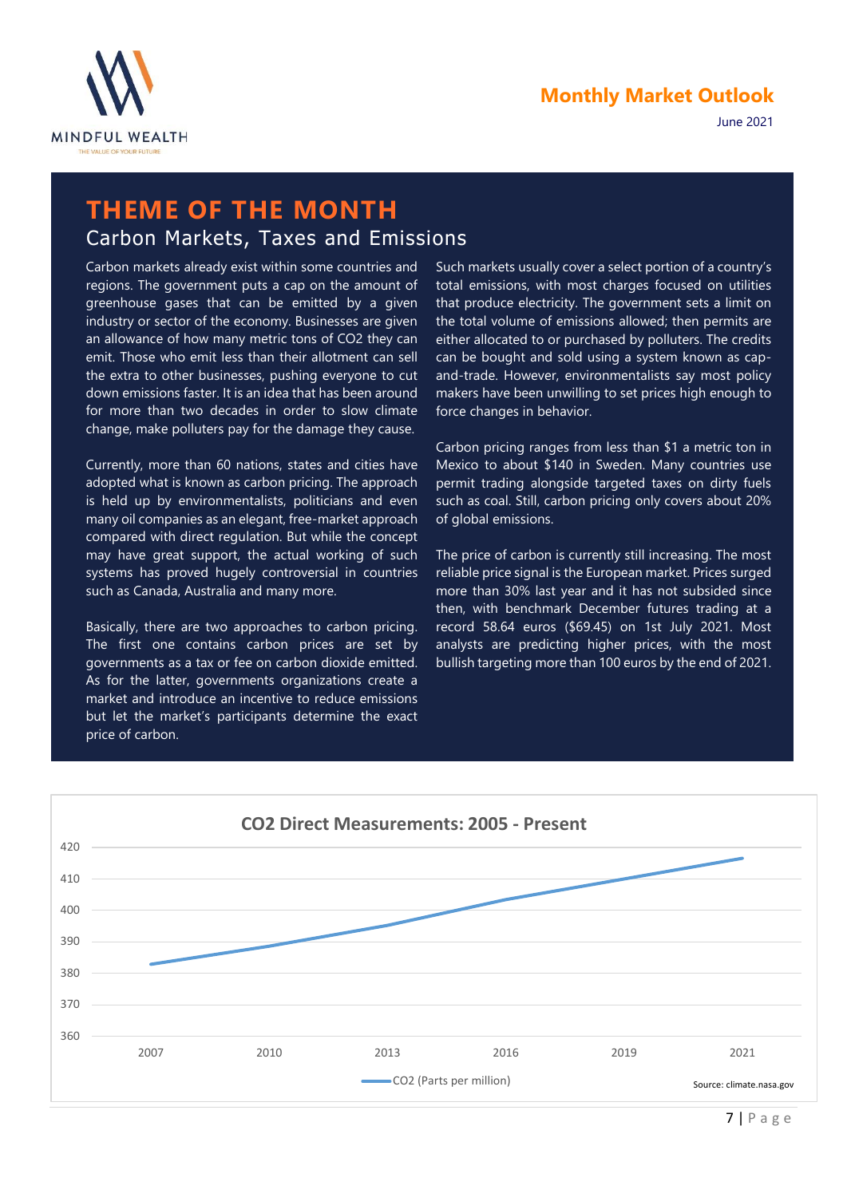

## **THEME OF THE MONTH** Carbon Markets, Taxes and Emissions

Carbon markets already exist within some countries and regions. The government puts a cap on the amount of greenhouse gases that can be emitted by a given industry or sector of the economy. Businesses are given an allowance of how many metric tons of CO2 they can emit. Those who emit less than their allotment can sell the extra to other businesses, pushing everyone to cut down emissions faster. It is an idea that has been around for more than two decades in order to slow climate change, make polluters pay for the damage they cause.

Currently, more than 60 nations, states and cities have adopted what is known as carbon pricing. The approach is held up by environmentalists, politicians and even many oil companies as an elegant, free-market approach compared with direct regulation. But while the concept may have great support, the actual working of such systems has proved hugely controversial in countries such as Canada, Australia and many more.

Basically, there are two approaches to carbon pricing. The first one contains carbon prices are set by governments as a tax or fee on carbon dioxide emitted. As for the latter, governments organizations create a market and introduce an incentive to reduce emissions but let the market's participants determine the exact price of carbon.

Such markets usually cover a select portion of a country's total emissions, with most charges focused on utilities that produce electricity. The government sets a limit on the total volume of emissions allowed; then permits are either allocated to or purchased by polluters. The credits can be bought and sold using a system known as capand-trade. However, environmentalists say most policy makers have been unwilling to set prices high enough to force changes in behavior.

Carbon pricing ranges from less than \$1 a metric ton in Mexico to about \$140 in Sweden. Many countries use permit trading alongside targeted taxes on dirty fuels such as coal. Still, carbon pricing only covers about 20% of global emissions.

The price of carbon is currently still increasing. The most reliable price signal is the European market. Prices surged more than 30% last year and it has not subsided since then, with benchmark December futures trading at a record 58.64 euros (\$69.45) on 1st July 2021. Most analysts are predicting higher prices, with the most bullish targeting more than 100 euros by the end of 2021.

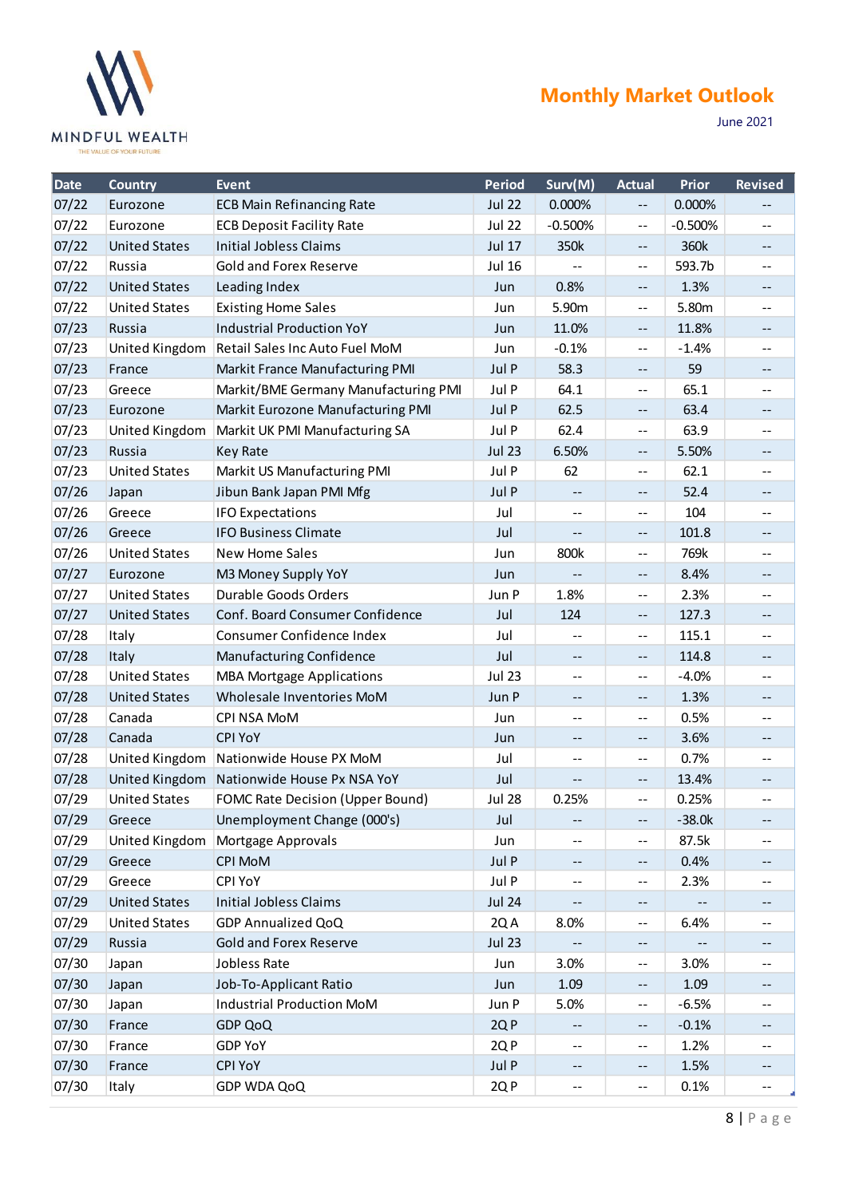

## **Monthly Market Outlook**

June 2021

| <b>Date</b> | <b>Country</b>       | <b>Event</b>                         | <b>Period</b> | Surv(M)                                       | <b>Actual</b>                                 | <b>Prior</b> | <b>Revised</b>    |
|-------------|----------------------|--------------------------------------|---------------|-----------------------------------------------|-----------------------------------------------|--------------|-------------------|
| 07/22       | Eurozone             | <b>ECB Main Refinancing Rate</b>     | <b>Jul 22</b> | 0.000%                                        | $- -$                                         | 0.000%       |                   |
| 07/22       | Eurozone             | <b>ECB Deposit Facility Rate</b>     | <b>Jul 22</b> | $-0.500%$                                     | --                                            | $-0.500%$    | $-$               |
| 07/22       | <b>United States</b> | <b>Initial Jobless Claims</b>        | <b>Jul 17</b> | 350k                                          | $\overline{\phantom{m}}$                      | 360k         | $\qquad \qquad -$ |
| 07/22       | Russia               | <b>Gold and Forex Reserve</b>        | <b>Jul 16</b> |                                               | --                                            | 593.7b       | --                |
| 07/22       | <b>United States</b> | Leading Index                        | Jun           | 0.8%                                          | $- -$                                         | 1.3%         | $\qquad \qquad -$ |
| 07/22       | <b>United States</b> | <b>Existing Home Sales</b>           | Jun           | 5.90m                                         | --                                            | 5.80m        | $- -$             |
| 07/23       | Russia               | <b>Industrial Production YoY</b>     | Jun           | 11.0%                                         | $\overline{\phantom{m}}$                      | 11.8%        | --                |
| 07/23       | United Kingdom       | Retail Sales Inc Auto Fuel MoM       | Jun           | $-0.1%$                                       | --                                            | $-1.4%$      | --                |
| 07/23       | France               | Markit France Manufacturing PMI      | Jul P         | 58.3                                          | $--$                                          | 59           | --                |
| 07/23       | Greece               | Markit/BME Germany Manufacturing PMI | Jul P         | 64.1                                          | $-$                                           | 65.1         | $-$               |
| 07/23       | Eurozone             | Markit Eurozone Manufacturing PMI    | Jul P         | 62.5                                          | --                                            | 63.4         | $\qquad \qquad -$ |
| 07/23       | United Kingdom       | Markit UK PMI Manufacturing SA       | Jul P         | 62.4                                          | --                                            | 63.9         | $- -$             |
| 07/23       | Russia               | <b>Key Rate</b>                      | <b>Jul 23</b> | 6.50%                                         | $-\,-$                                        | 5.50%        | --                |
| 07/23       | <b>United States</b> | Markit US Manufacturing PMI          | Jul P         | 62                                            | --                                            | 62.1         | $- -$             |
| 07/26       | Japan                | Jibun Bank Japan PMI Mfg             | Jul P         | $\mathord{\hspace{1pt}\text{--}\hspace{1pt}}$ | $-$                                           | 52.4         | $\qquad \qquad -$ |
| 07/26       | Greece               | <b>IFO Expectations</b>              | Jul           | $\mathord{\hspace{1pt}\text{--}\hspace{1pt}}$ | --                                            | 104          | --                |
| 07/26       | Greece               | <b>IFO Business Climate</b>          | Jul           | $-$                                           | $--$                                          | 101.8        | --                |
| 07/26       | <b>United States</b> | New Home Sales                       | Jun           | 800k                                          | $-$                                           | 769k         | $- -$             |
| 07/27       | Eurozone             | M3 Money Supply YoY                  | Jun           |                                               | $\overline{\phantom{m}}$                      | 8.4%         | $\qquad \qquad -$ |
| 07/27       | <b>United States</b> | Durable Goods Orders                 | Jun P         | 1.8%                                          | $-$                                           | 2.3%         | --                |
| 07/27       | <b>United States</b> | Conf. Board Consumer Confidence      | Jul           | 124                                           | $--$                                          | 127.3        | --                |
| 07/28       | Italy                | Consumer Confidence Index            | Jul           |                                               | $-$                                           | 115.1        | --                |
| 07/28       | Italy                | Manufacturing Confidence             | Jul           | $\qquad \qquad -$                             | $- -$                                         | 114.8        | $-$               |
| 07/28       | <b>United States</b> | <b>MBA Mortgage Applications</b>     | <b>Jul 23</b> | $-$                                           | --                                            | $-4.0%$      | $- -$             |
| 07/28       | <b>United States</b> | Wholesale Inventories MoM            | Jun P         | $-$                                           | $--$                                          | 1.3%         | $-$               |
| 07/28       | Canada               | CPI NSA MoM                          | Jun           | $-$                                           | --                                            | 0.5%         | --                |
| 07/28       | Canada               | <b>CPI YoY</b>                       | Jun           | $-\,-$                                        | --                                            | 3.6%         | $\qquad \qquad -$ |
| 07/28       | United Kingdom       | Nationwide House PX MoM              | Jul           | $-$                                           | $-$                                           | 0.7%         | $- -$             |
| 07/28       | United Kingdom       | Nationwide House Px NSA YoY          | Jul           | --                                            | --                                            | 13.4%        | --                |
| 07/29       | <b>United States</b> | FOMC Rate Decision (Upper Bound)     | <b>Jul 28</b> | 0.25%                                         | --                                            | 0.25%        | $\overline{a}$    |
| 07/29       | Greece               | Unemployment Change (000's)          | Jul           | $\qquad \qquad -$                             | --                                            | $-38.0k$     |                   |
| 07/29       | United Kingdom       | Mortgage Approvals                   | Jun           | $\mathord{\hspace{1pt}\text{--}\hspace{1pt}}$ | --                                            | 87.5k        | --                |
| 07/29       | Greece               | CPI MoM                              | Jul P         | $\qquad \qquad -$                             | $--$                                          | 0.4%         |                   |
| 07/29       | Greece               | CPI YoY                              | Jul P         | $\mathord{\hspace{1pt}\text{--}\hspace{1pt}}$ | --                                            | 2.3%         | --                |
| 07/29       | <b>United States</b> | <b>Initial Jobless Claims</b>        | <b>Jul 24</b> | $- \, -$                                      | --                                            |              | --                |
| 07/29       | <b>United States</b> | GDP Annualized QoQ                   | 2Q A          | 8.0%                                          | $\mathord{\hspace{1pt}\text{--}\hspace{1pt}}$ | 6.4%         | --                |
| 07/29       | Russia               | <b>Gold and Forex Reserve</b>        | <b>Jul 23</b> |                                               | --                                            |              |                   |
| 07/30       | Japan                | Jobless Rate                         | Jun           | 3.0%                                          | --                                            | 3.0%         | --                |
| 07/30       | Japan                | Job-To-Applicant Ratio               | Jun           | 1.09                                          | $\qquad \qquad -$                             | 1.09         | --                |
| 07/30       | Japan                | Industrial Production MoM            | Jun P         | 5.0%                                          | --                                            | $-6.5%$      | --                |
| 07/30       | France               | GDP QoQ                              | 2QP           | $-$                                           | --                                            | $-0.1%$      | --                |
| 07/30       | France               | <b>GDP YoY</b>                       | 2QP           | $\mathord{\hspace{1pt}\text{--}\hspace{1pt}}$ | --                                            | 1.2%         | -−                |
| 07/30       | France               | <b>CPI YoY</b>                       | Jul P         | $\mathord{\hspace{1pt}\text{--}\hspace{1pt}}$ | --                                            | 1.5%         | --                |
| 07/30       | Italy                | GDP WDA QoQ                          | 2QP           | $- -$                                         | $\overline{\phantom{a}}$                      | 0.1%         | --                |